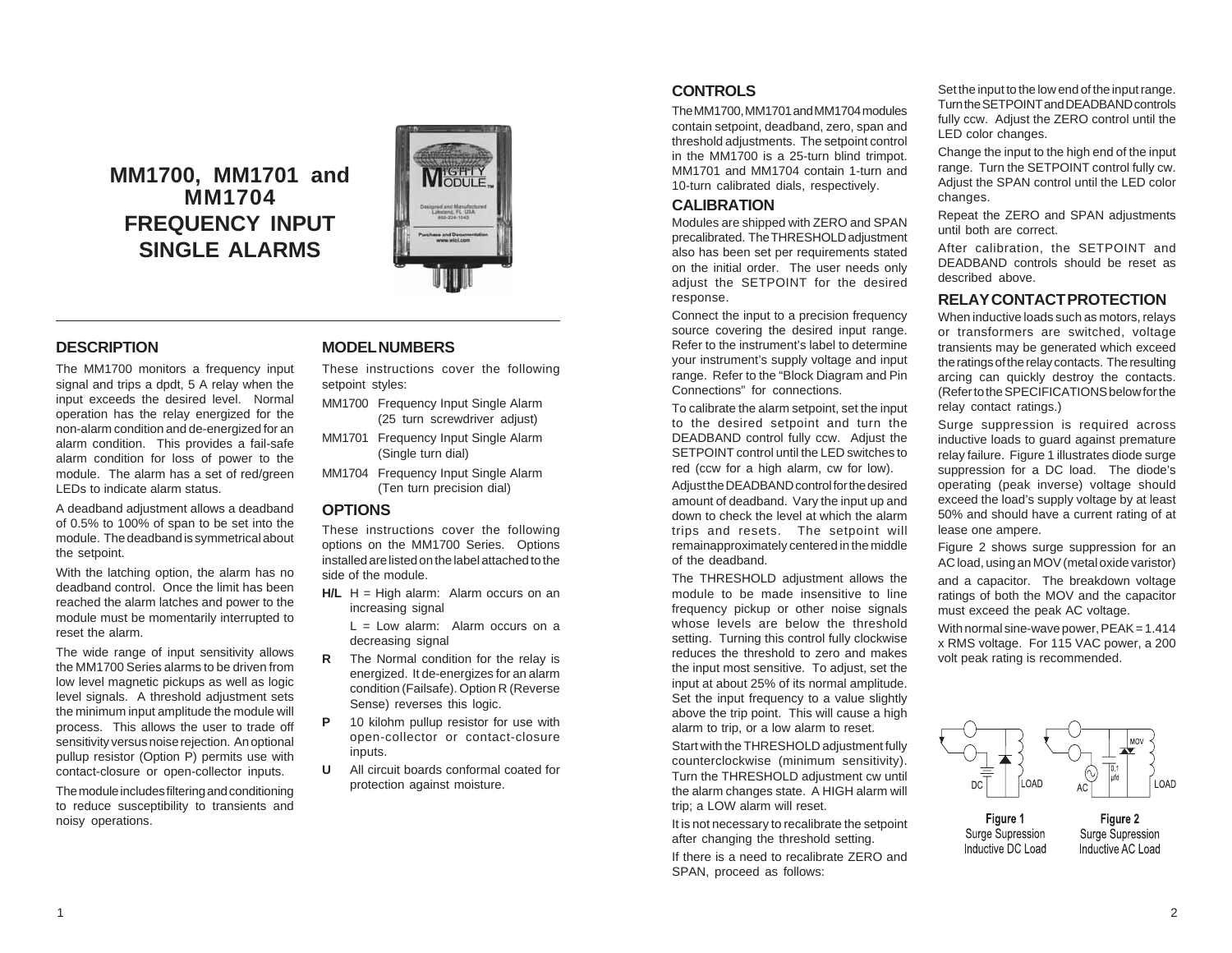# **MM1700, MM1701 and MM1704 FREQUENCY INPUT SINGLE ALARMS**



## **DESCRIPTION**

The MM1700 monitors a frequency input signal and trips a dpdt, 5 A relay when the input exceeds the desired level. Normal operation has the relay energized for the non-alarm condition and de-energized for an alarm condition. This provides a fail-safe alarm condition for loss of power to the module. The alarm has a set of red/green LEDs to indicate alarm status.

A deadband adjustment allows a deadband of 0.5% to 100% of span to be set into the module. The deadband is symmetrical about the setpoint.

With the latching option, the alarm has no deadband control. Once the limit has been reached the alarm latches and power to the module must be momentarily interrupted to reset the alarm.

The wide range of input sensitivity allows the MM1700 Series alarms to be driven from low level magnetic pickups as well as logic level signals. A threshold adjustment sets the minimum input amplitude the module will process. This allows the user to trade off sensitivity versus noise rejection. An optional pullup resistor (Option P) permits use with contact-closure or open-collector inputs.

The module includes filtering and conditioning to reduce susceptibility to transients and noisy operations.

### **MODEL NUMBERS**

These instructions cover the following setpoint styles:

- MM1700 Frequency Input Single Alarm (25 turn screwdriver adjust)
- MM1701 Frequency Input Single Alarm (Single turn dial)
- MM1704 Frequency Input Single Alarm (Ten turn precision dial)

#### **OPTIONS**

These instructions cover the following options on the MM1700 Series. Options installed are listed on the label attached to the side of the module.

- **H/L** H = High alarm: Alarm occurs on an increasing signal
	- $L = Low$  alarm: Alarm occurs on a decreasing signal
- **R** The Normal condition for the relay is energized. It de-energizes for an alarm condition (Failsafe). Option R (Reverse Sense) reverses this logic.
- **P** 10 kilohm pullup resistor for use with open-collector or contact-closure inputs.
- **U** All circuit boards conformal coated for protection against moisture.

### **CONTROLS**

The MM1700, MM1701 and MM1704 modules contain setpoint, deadband, zero, span and threshold adjustments. The setpoint control in the MM1700 is a 25-turn blind trimpot. MM1701 and MM1704 contain 1-turn and 10-turn calibrated dials, respectively.

### **CALIBRATION**

Modules are shipped with ZERO and SPAN precalibrated. The THRESHOLD adjustment also has been set per requirements stated on the initial order. The user needs only adjust the SETPOINT for the desired response.

Connect the input to a precision frequency source covering the desired input range. Refer to the instrument's label to determine your instrument's supply voltage and input range. Refer to the "Block Diagram and Pin Connections" for connections.

To calibrate the alarm setpoint, set the input to the desired setpoint and turn the DEADBAND control fully ccw. Adjust the SETPOINT control until the LED switches to red (ccw for a high alarm, cw for low). Adjust the DEADBAND control for the desired amount of deadband. Vary the input up and down to check the level at which the alarm trips and resets. The setpoint will remainapproximately centered in the middle of the deadband.

The THRESHOLD adjustment allows the module to be made insensitive to line frequency pickup or other noise signals whose levels are below the threshold setting. Turning this control fully clockwise reduces the threshold to zero and makes the input most sensitive. To adjust, set the input at about 25% of its normal amplitude. Set the input frequency to a value slightly above the trip point. This will cause a high alarm to trip, or a low alarm to reset. Start with the THRESHOLD adjustment fully counterclockwise (minimum sensitivity). Turn the THRESHOLD adjustment cw until the alarm changes state. A HIGH alarm will trip; a LOW alarm will reset.

It is not necessary to recalibrate the setpoint after changing the threshold setting. If there is a need to recalibrate ZERO and SPAN, proceed as follows:

Set the input to the low end of the input range. Turn the SETPOINT and DEADBAND controls fully ccw. Adjust the ZERO control until the LED color changes.

Change the input to the high end of the input range. Turn the SETPOINT control fully cw. Adjust the SPAN control until the LED color changes.

Repeat the ZERO and SPAN adjustments until both are correct.

After calibration, the SETPOINT and DEADBAND controls should be reset as described above.

# **RELAY CONTACT PROTECTION**

When inductive loads such as motors, relays or transformers are switched, voltage transients may be generated which exceed the ratings of the relay contacts. The resulting arcing can quickly destroy the contacts. (Refer to the SPECIFICATIONS below for the relay contact ratings.)

Surge suppression is required across inductive loads to guard against premature relay failure. Figure 1 illustrates diode surge suppression for a DC load. The diode's operating (peak inverse) voltage should exceed the load's supply voltage by at least 50% and should have a current rating of at lease one ampere.

Figure 2 shows surge suppression for an AC load, using an MOV (metal oxide varistor) and a capacitor. The breakdown voltage ratings of both the MOV and the capacitor must exceed the peak AC voltage.

With normal sine-wave power,  $PEAK = 1.414$ x RMS voltage. For 115 VAC power, a 200 volt peak rating is recommended.